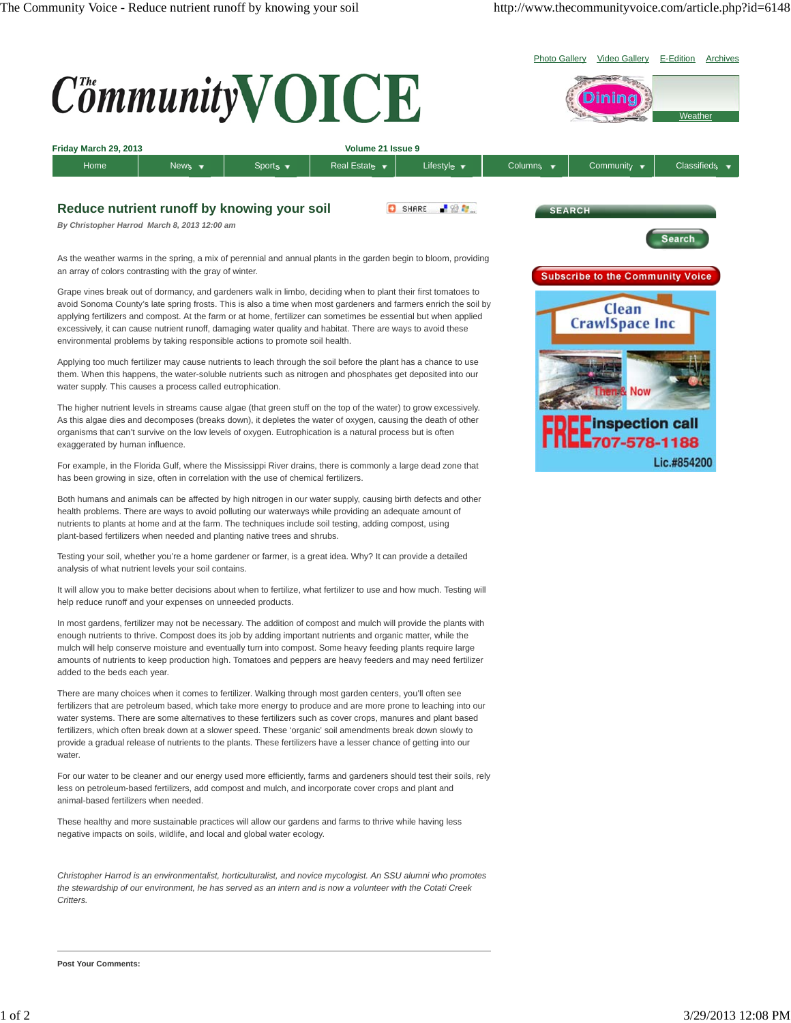

It will allow you to make better decisions about when to fertilize, what fertilizer to use and how much. Testing will help reduce runoff and your expenses on unneeded products.

In most gardens, fertilizer may not be necessary. The addition of compost and mulch will provide the plants with enough nutrients to thrive. Compost does its job by adding important nutrients and organic matter, while the mulch will help conserve moisture and eventually turn into compost. Some heavy feeding plants require large amounts of nutrients to keep production high. Tomatoes and peppers are heavy feeders and may need fertilizer added to the beds each year.

There are many choices when it comes to fertilizer. Walking through most garden centers, you'll often see fertilizers that are petroleum based, which take more energy to produce and are more prone to leaching into our water systems. There are some alternatives to these fertilizers such as cover crops, manures and plant based fertilizers, which often break down at a slower speed. These 'organic' soil amendments break down slowly to provide a gradual release of nutrients to the plants. These fertilizers have a lesser chance of getting into our water.

For our water to be cleaner and our energy used more efficiently, farms and gardeners should test their soils, rely less on petroleum-based fertilizers, add compost and mulch, and incorporate cover crops and plant and animal-based fertilizers when needed.

These healthy and more sustainable practices will allow our gardens and farms to thrive while having less negative impacts on soils, wildlife, and local and global water ecology.

*Christopher Harrod is an environmentalist, horticulturalist, and novice mycologist. An SSU alumni who promotes the stewardship of our environment, he has served as an intern and is now a volunteer with the Cotati Creek Critters.*

**Post Your Comments:**